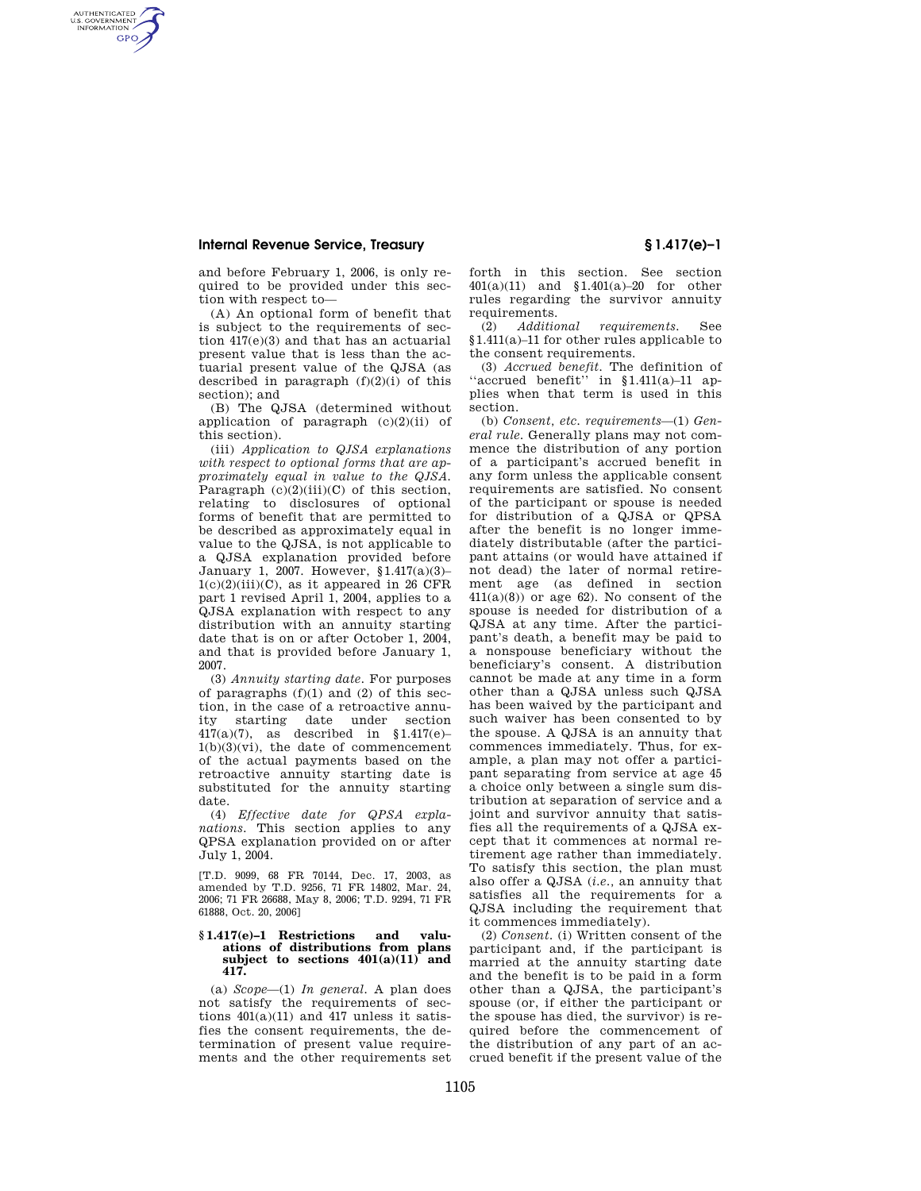AUTHENTICATED<br>U.S. GOVERNMENT<br>INFORMATION **GPO** 

> and before February 1, 2006, is only required to be provided under this section with respect to—

> (A) An optional form of benefit that is subject to the requirements of section 417(e)(3) and that has an actuarial present value that is less than the actuarial present value of the QJSA (as described in paragraph (f)(2)(i) of this section); and

> (B) The QJSA (determined without application of paragraph (c)(2)(ii) of this section).

(iii) *Application to QJSA explanations with respect to optional forms that are approximately equal in value to the QJSA.*  Paragraph  $(c)(2)(iii)(C)$  of this section, relating to disclosures of optional forms of benefit that are permitted to be described as approximately equal in value to the QJSA, is not applicable to a QJSA explanation provided before January 1, 2007. However, §1.417(a)(3)–  $1(c)(2)(iii)(C)$ , as it appeared in 26 CFR part 1 revised April 1, 2004, applies to a QJSA explanation with respect to any distribution with an annuity starting date that is on or after October 1, 2004, and that is provided before January 1, 2007.

(3) *Annuity starting date.* For purposes of paragraphs (f)(1) and (2) of this section, in the case of a retroactive annuity starting date under section 417(a)(7), as described in §1.417(e)–  $1(b)(3)(vi)$ , the date of commencement of the actual payments based on the retroactive annuity starting date is substituted for the annuity starting date.

(4) *Effective date for QPSA explanations.* This section applies to any QPSA explanation provided on or after July 1, 2004.

[T.D. 9099, 68 FR 70144, Dec. 17, 2003, as amended by T.D. 9256, 71 FR 14802, Mar. 24, 2006; 71 FR 26688, May 8, 2006; T.D. 9294, 71 FR 61888, Oct. 20, 2006]

#### **§ 1.417(e)–1 Restrictions and valuations of distributions from plans subject to sections 401(a)(11) and 417.**

(a) *Scope*—(1) *In general.* A plan does not satisfy the requirements of sections  $401(a)(11)$  and  $417$  unless it satisfies the consent requirements, the determination of present value requirements and the other requirements set forth in this section. See section 401(a)(11) and §1.401(a)–20 for other rules regarding the survivor annuity requirements.<br>(2) *Additional* 

(2) *Additional requirements.* See §1.411(a)–11 for other rules applicable to the consent requirements.

(3) *Accrued benefit.* The definition of 'accrued benefit'' in  $$1.411(a)-11$  applies when that term is used in this section.

(b) *Consent, etc. requirements*—(1) *General rule.* Generally plans may not commence the distribution of any portion of a participant's accrued benefit in any form unless the applicable consent requirements are satisfied. No consent of the participant or spouse is needed for distribution of a QJSA or QPSA after the benefit is no longer immediately distributable (after the participant attains (or would have attained if not dead) the later of normal retirement age (as defined in section  $411(a)(8)$  or age 62). No consent of the spouse is needed for distribution of a QJSA at any time. After the participant's death, a benefit may be paid to a nonspouse beneficiary without the beneficiary's consent. A distribution cannot be made at any time in a form other than a QJSA unless such QJSA has been waived by the participant and such waiver has been consented to by the spouse. A QJSA is an annuity that commences immediately. Thus, for example, a plan may not offer a participant separating from service at age 45 a choice only between a single sum distribution at separation of service and a joint and survivor annuity that satisfies all the requirements of a QJSA except that it commences at normal retirement age rather than immediately. To satisfy this section, the plan must also offer a QJSA (*i.e.,* an annuity that satisfies all the requirements for a QJSA including the requirement that it commences immediately).

(2) *Consent.* (i) Written consent of the participant and, if the participant is married at the annuity starting date and the benefit is to be paid in a form other than a QJSA, the participant's spouse (or, if either the participant or the spouse has died, the survivor) is required before the commencement of the distribution of any part of an accrued benefit if the present value of the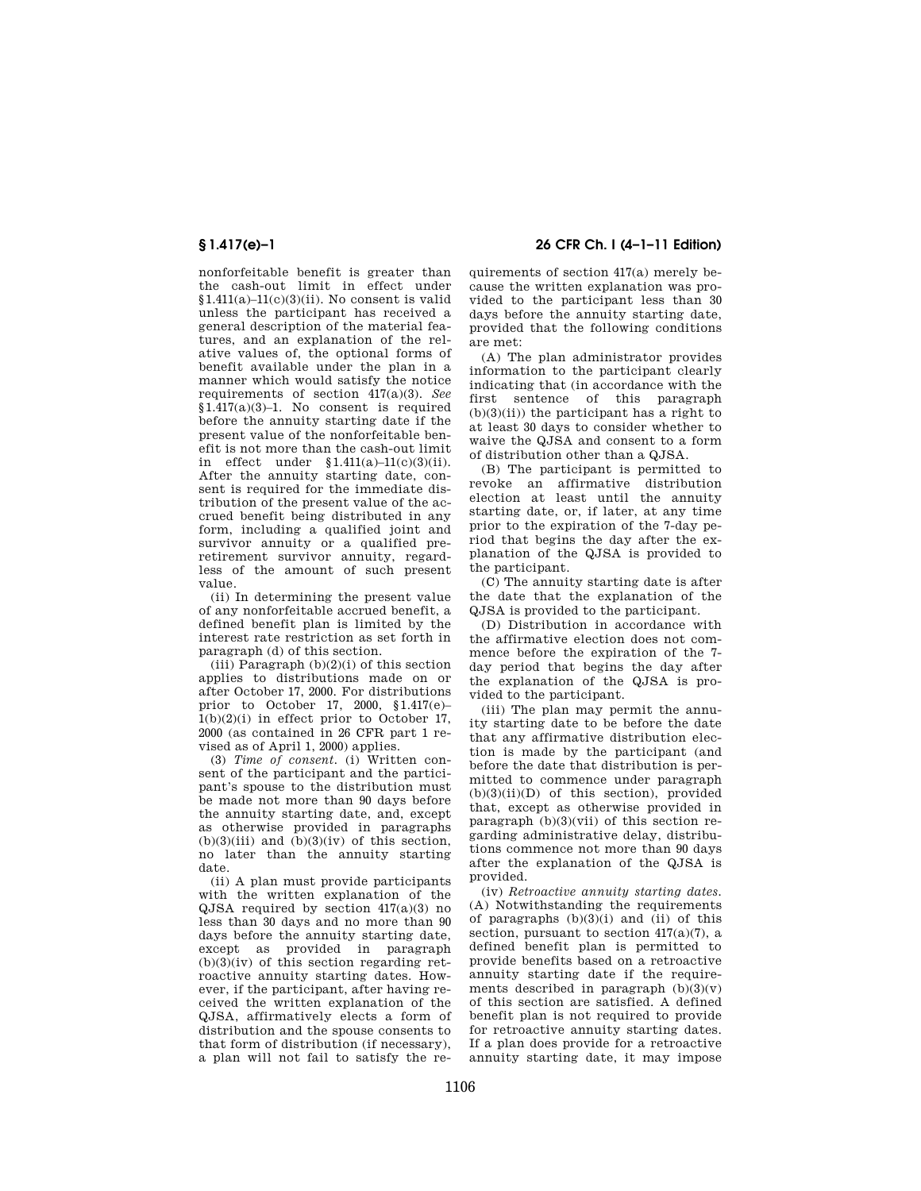nonforfeitable benefit is greater than the cash-out limit in effect under §1.411(a)–11(c)(3)(ii). No consent is valid unless the participant has received a general description of the material features, and an explanation of the relative values of, the optional forms of benefit available under the plan in a manner which would satisfy the notice requirements of section 417(a)(3). *See*   $$1.417(a)(3)-1$ . No consent is required before the annuity starting date if the present value of the nonforfeitable benefit is not more than the cash-out limit in effect under  $$1.411(a)-11(c)(3)(ii)$ . After the annuity starting date, consent is required for the immediate distribution of the present value of the accrued benefit being distributed in any form, including a qualified joint and survivor annuity or a qualified preretirement survivor annuity, regardless of the amount of such present value.

(ii) In determining the present value of any nonforfeitable accrued benefit, a defined benefit plan is limited by the interest rate restriction as set forth in paragraph (d) of this section.

(iii) Paragraph  $(b)(2)(i)$  of this section applies to distributions made on or after October 17, 2000. For distributions prior to October 17, 2000, §1.417(e)–  $1(b)(2)(i)$  in effect prior to October 17. 2000 (as contained in 26 CFR part 1 revised as of April 1, 2000) applies.

(3) *Time of consent.* (i) Written consent of the participant and the participant's spouse to the distribution must be made not more than 90 days before the annuity starting date, and, except as otherwise provided in paragraphs  $(b)(3)(iii)$  and  $(b)(3)(iv)$  of this section, no later than the annuity starting date.

(ii) A plan must provide participants with the written explanation of the QJSA required by section 417(a)(3) no less than 30 days and no more than 90 days before the annuity starting date, except as provided in paragraph  $(b)(3)(iv)$  of this section regarding retroactive annuity starting dates. However, if the participant, after having received the written explanation of the QJSA, affirmatively elects a form of distribution and the spouse consents to that form of distribution (if necessary), a plan will not fail to satisfy the re-

**§ 1.417(e)–1 26 CFR Ch. I (4–1–11 Edition)** 

quirements of section 417(a) merely because the written explanation was provided to the participant less than 30 days before the annuity starting date, provided that the following conditions are met:

(A) The plan administrator provides information to the participant clearly indicating that (in accordance with the first sentence of this paragraph  $(b)(3)(ii)$  the participant has a right to at least 30 days to consider whether to waive the QJSA and consent to a form of distribution other than a QJSA.

(B) The participant is permitted to revoke an affirmative distribution election at least until the annuity starting date, or, if later, at any time prior to the expiration of the 7-day period that begins the day after the explanation of the QJSA is provided to the participant.

(C) The annuity starting date is after the date that the explanation of the QJSA is provided to the participant.

(D) Distribution in accordance with the affirmative election does not commence before the expiration of the 7 day period that begins the day after the explanation of the QJSA is provided to the participant.

(iii) The plan may permit the annuity starting date to be before the date that any affirmative distribution election is made by the participant (and before the date that distribution is permitted to commence under paragraph  $(b)(3)(ii)(D)$  of this section), provided that, except as otherwise provided in paragraph (b)(3)(vii) of this section regarding administrative delay, distributions commence not more than 90 days after the explanation of the QJSA is provided.

(iv) *Retroactive annuity starting dates.*  (A) Notwithstanding the requirements of paragraphs (b)(3)(i) and (ii) of this section, pursuant to section 417(a)(7), a defined benefit plan is permitted to provide benefits based on a retroactive annuity starting date if the requirements described in paragraph  $(b)(3)(v)$ of this section are satisfied. A defined benefit plan is not required to provide for retroactive annuity starting dates. If a plan does provide for a retroactive annuity starting date, it may impose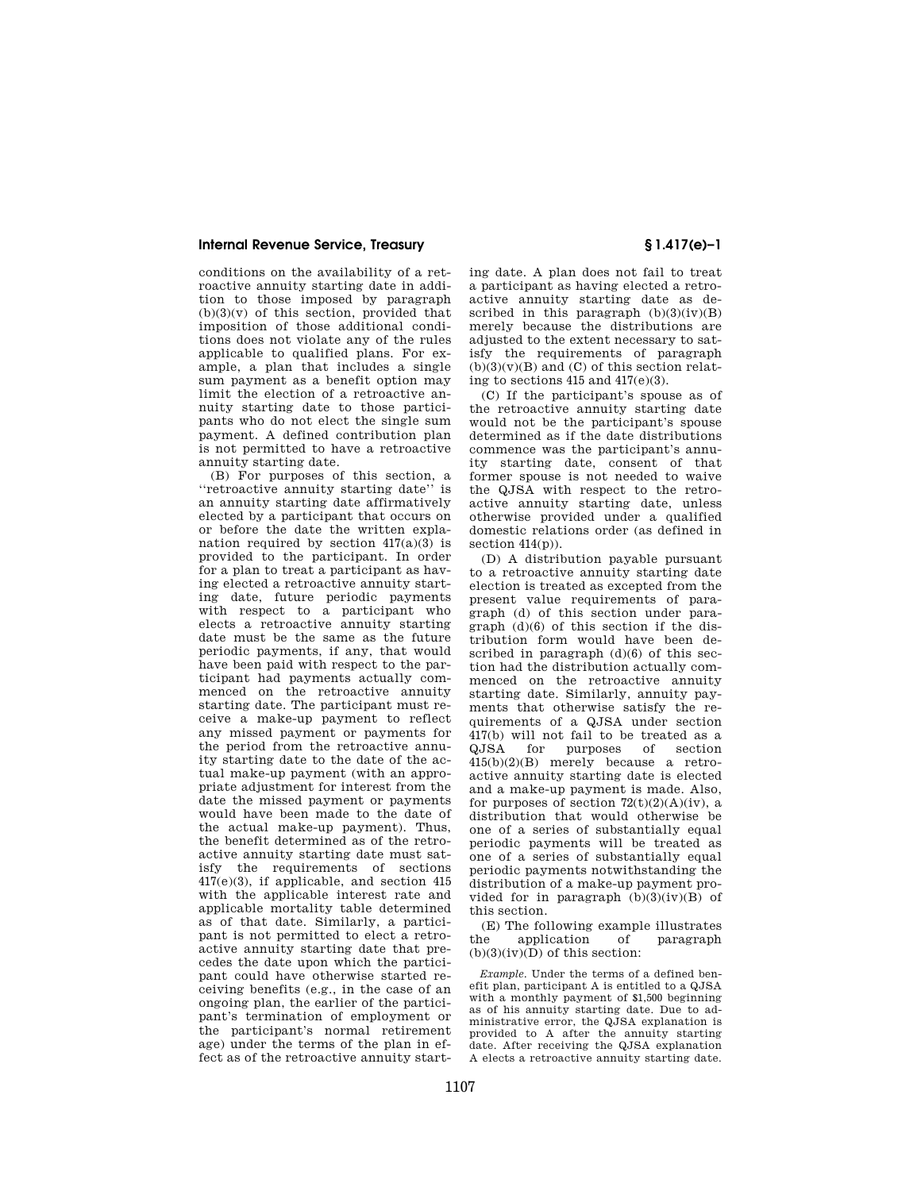conditions on the availability of a retroactive annuity starting date in addition to those imposed by paragraph  $(b)(3)(v)$  of this section, provided that imposition of those additional conditions does not violate any of the rules applicable to qualified plans. For example, a plan that includes a single sum payment as a benefit option may limit the election of a retroactive annuity starting date to those participants who do not elect the single sum payment. A defined contribution plan is not permitted to have a retroactive annuity starting date.

(B) For purposes of this section, a ''retroactive annuity starting date'' is an annuity starting date affirmatively elected by a participant that occurs on or before the date the written explanation required by section  $417(a)(3)$  is provided to the participant. In order for a plan to treat a participant as having elected a retroactive annuity starting date, future periodic payments with respect to a participant who elects a retroactive annuity starting date must be the same as the future periodic payments, if any, that would have been paid with respect to the participant had payments actually commenced on the retroactive annuity starting date. The participant must receive a make-up payment to reflect any missed payment or payments for the period from the retroactive annuity starting date to the date of the actual make-up payment (with an appropriate adjustment for interest from the date the missed payment or payments would have been made to the date of the actual make-up payment). Thus, the benefit determined as of the retroactive annuity starting date must satisfy the requirements of sections 417(e)(3), if applicable, and section 415 with the applicable interest rate and applicable mortality table determined as of that date. Similarly, a participant is not permitted to elect a retroactive annuity starting date that precedes the date upon which the participant could have otherwise started receiving benefits (e.g., in the case of an ongoing plan, the earlier of the participant's termination of employment or the participant's normal retirement age) under the terms of the plan in effect as of the retroactive annuity starting date. A plan does not fail to treat a participant as having elected a retroactive annuity starting date as described in this paragraph  $(b)(3)(iv)(B)$ merely because the distributions are adjusted to the extent necessary to satisfy the requirements of paragraph  $(b)(3)(v)(B)$  and  $(C)$  of this section relating to sections  $415$  and  $417(e)(3)$ .

(C) If the participant's spouse as of the retroactive annuity starting date would not be the participant's spouse determined as if the date distributions commence was the participant's annuity starting date, consent of that former spouse is not needed to waive the QJSA with respect to the retroactive annuity starting date, unless otherwise provided under a qualified domestic relations order (as defined in section  $414(p)$ ).

(D) A distribution payable pursuant to a retroactive annuity starting date election is treated as excepted from the present value requirements of paragraph (d) of this section under paragraph (d)(6) of this section if the distribution form would have been described in paragraph  $(d)(6)$  of this section had the distribution actually commenced on the retroactive annuity starting date. Similarly, annuity payments that otherwise satisfy the requirements of a QJSA under section  $417(b)$  will not fail to be treated as a QJSA for purposes of section for purposes of 415(b)(2)(B) merely because a retroactive annuity starting date is elected and a make-up payment is made. Also, for purposes of section  $72(t)(2)(A)(iv)$ , a distribution that would otherwise be one of a series of substantially equal periodic payments will be treated as one of a series of substantially equal periodic payments notwithstanding the distribution of a make-up payment provided for in paragraph  $(b)(3)(iv)(B)$  of this section.

(E) The following example illustrates the application of paragraph  $(b)(3)(iv)(D)$  of this section:

*Example.* Under the terms of a defined benefit plan, participant A is entitled to a QJSA with a monthly payment of \$1,500 beginning as of his annuity starting date. Due to administrative error, the QJSA explanation is provided to A after the annuity starting date. After receiving the QJSA explanation A elects a retroactive annuity starting date.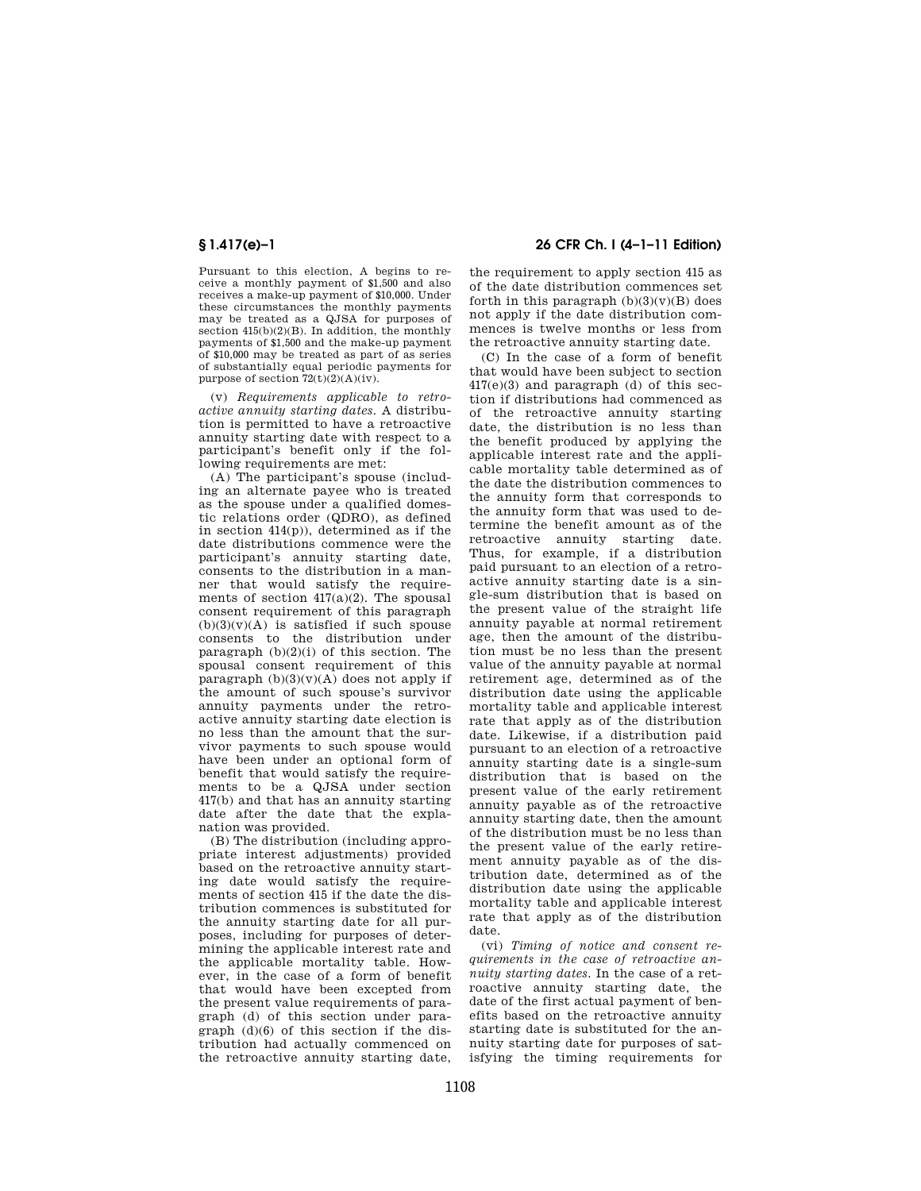Pursuant to this election, A begins to receive a monthly payment of \$1,500 and also receives a make-up payment of \$10,000. Under these circumstances the monthly payments may be treated as a QJSA for purposes of section 415(b)(2)(B). In addition, the monthly payments of \$1,500 and the make-up payment of \$10,000 may be treated as part of as series of substantially equal periodic payments for purpose of section  $72(t)(2)(A)(iv)$ .

(v) *Requirements applicable to retroactive annuity starting dates.* A distribution is permitted to have a retroactive annuity starting date with respect to a participant's benefit only if the following requirements are met:

(A) The participant's spouse (including an alternate payee who is treated as the spouse under a qualified domestic relations order (QDRO), as defined in section 414(p)), determined as if the date distributions commence were the participant's annuity starting date, consents to the distribution in a manner that would satisfy the requirements of section  $417(a)(2)$ . The spousal consent requirement of this paragraph  $(b)(3)(v)(A)$  is satisfied if such spouse consents to the distribution under paragraph  $(b)(2)(i)$  of this section. The spousal consent requirement of this paragraph  $(b)(3)(v)(A)$  does not apply if the amount of such spouse's survivor annuity payments under the retroactive annuity starting date election is no less than the amount that the survivor payments to such spouse would have been under an optional form of benefit that would satisfy the requirements to be a QJSA under section 417(b) and that has an annuity starting date after the date that the explanation was provided.

(B) The distribution (including appropriate interest adjustments) provided based on the retroactive annuity starting date would satisfy the requirements of section 415 if the date the distribution commences is substituted for the annuity starting date for all purposes, including for purposes of determining the applicable interest rate and the applicable mortality table. However, in the case of a form of benefit that would have been excepted from the present value requirements of paragraph (d) of this section under paragraph (d)(6) of this section if the distribution had actually commenced on the retroactive annuity starting date,

**§ 1.417(e)–1 26 CFR Ch. I (4–1–11 Edition)** 

the requirement to apply section 415 as of the date distribution commences set forth in this paragraph  $(b)(3)(v)(B)$  does not apply if the date distribution commences is twelve months or less from the retroactive annuity starting date.

(C) In the case of a form of benefit that would have been subject to section  $417(e)(3)$  and paragraph (d) of this section if distributions had commenced as of the retroactive annuity starting date, the distribution is no less than the benefit produced by applying the applicable interest rate and the applicable mortality table determined as of the date the distribution commences to the annuity form that corresponds to the annuity form that was used to determine the benefit amount as of the retroactive annuity starting date. Thus, for example, if a distribution paid pursuant to an election of a retroactive annuity starting date is a single-sum distribution that is based on the present value of the straight life annuity payable at normal retirement age, then the amount of the distribution must be no less than the present value of the annuity payable at normal retirement age, determined as of the distribution date using the applicable mortality table and applicable interest rate that apply as of the distribution date. Likewise, if a distribution paid pursuant to an election of a retroactive annuity starting date is a single-sum distribution that is based on the present value of the early retirement annuity payable as of the retroactive annuity starting date, then the amount of the distribution must be no less than the present value of the early retirement annuity payable as of the distribution date, determined as of the distribution date using the applicable mortality table and applicable interest rate that apply as of the distribution date.

(vi) *Timing of notice and consent requirements in the case of retroactive annuity starting dates.* In the case of a retroactive annuity starting date, the date of the first actual payment of benefits based on the retroactive annuity starting date is substituted for the annuity starting date for purposes of satisfying the timing requirements for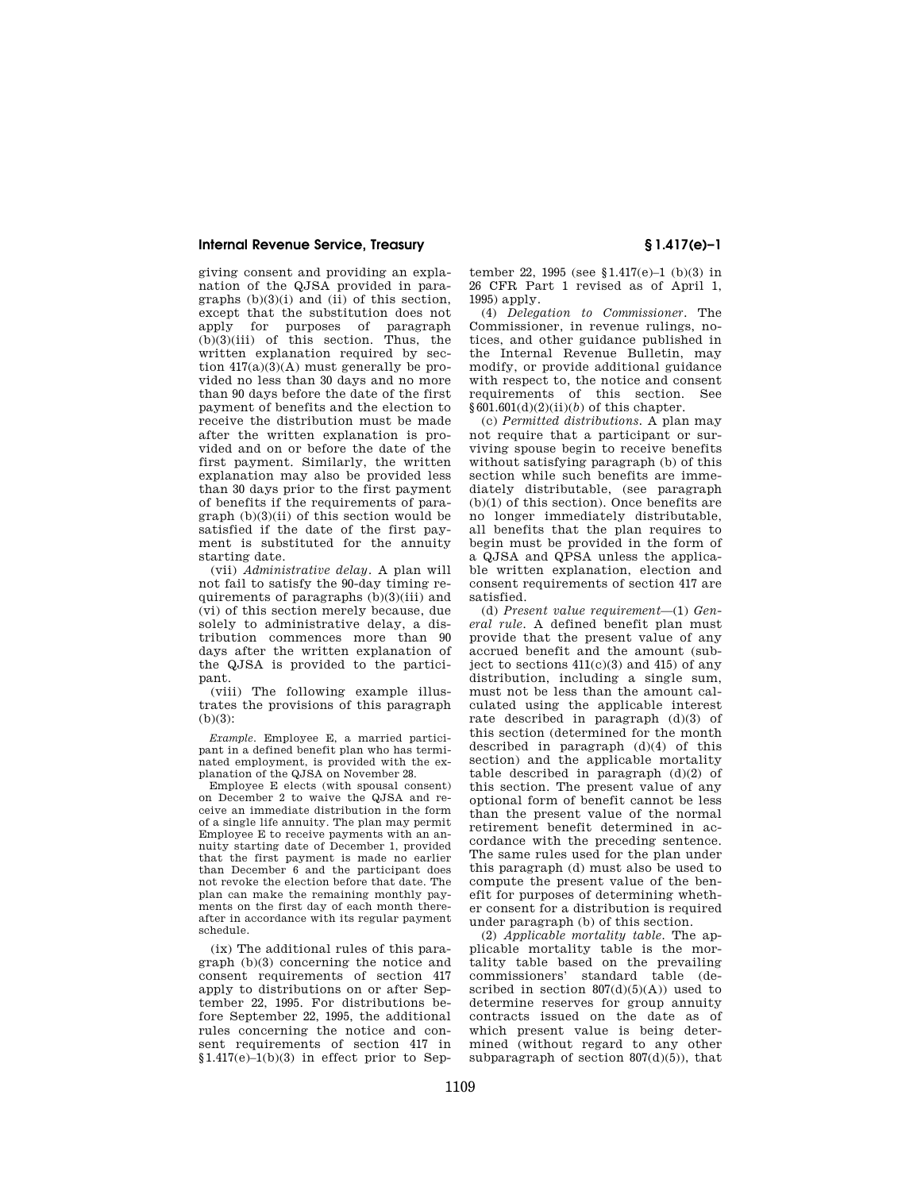giving consent and providing an explanation of the QJSA provided in paragraphs  $(b)(3)(i)$  and  $(ii)$  of this section, except that the substitution does not apply for purposes of paragraph (b)(3)(iii) of this section. Thus, the written explanation required by section  $417(a)(3)(A)$  must generally be provided no less than 30 days and no more than 90 days before the date of the first payment of benefits and the election to receive the distribution must be made after the written explanation is provided and on or before the date of the first payment. Similarly, the written explanation may also be provided less than 30 days prior to the first payment of benefits if the requirements of paragraph (b)(3)(ii) of this section would be satisfied if the date of the first payment is substituted for the annuity starting date.

(vii) *Administrative delay.* A plan will not fail to satisfy the 90-day timing requirements of paragraphs (b)(3)(iii) and (vi) of this section merely because, due solely to administrative delay, a distribution commences more than 90 days after the written explanation of the QJSA is provided to the participant.

(viii) The following example illustrates the provisions of this paragraph  $(h)(3)$ :

*Example.* Employee E, a married participant in a defined benefit plan who has terminated employment, is provided with the explanation of the QJSA on November 28.

Employee E elects (with spousal consent) on December 2 to waive the QJSA and receive an immediate distribution in the form of a single life annuity. The plan may permit Employee E to receive payments with an annuity starting date of December 1, provided that the first payment is made no earlier than December 6 and the participant does not revoke the election before that date. The plan can make the remaining monthly payments on the first day of each month thereafter in accordance with its regular payment schedule.

(ix) The additional rules of this paragraph (b)(3) concerning the notice and consent requirements of section 417 apply to distributions on or after September 22, 1995. For distributions before September 22, 1995, the additional rules concerning the notice and consent requirements of section 417 in  $$1.417(e)$ –1(b)(3) in effect prior to Sep-

tember 22, 1995 (see §1.417(e)–1 (b)(3) in 26 CFR Part 1 revised as of April 1, 1995) apply.

(4) *Delegation to Commissioner.* The Commissioner, in revenue rulings, notices, and other guidance published in the Internal Revenue Bulletin, may modify, or provide additional guidance with respect to, the notice and consent requirements of this section. See  $§601.601(d)(2)(ii)(b)$  of this chapter.

(c) *Permitted distributions.* A plan may not require that a participant or surviving spouse begin to receive benefits without satisfying paragraph (b) of this section while such benefits are immediately distributable, (see paragraph (b)(1) of this section). Once benefits are no longer immediately distributable, all benefits that the plan requires to begin must be provided in the form of a QJSA and QPSA unless the applicable written explanation, election and consent requirements of section 417 are satisfied.

(d) *Present value requirement*—(1) *General rule.* A defined benefit plan must provide that the present value of any accrued benefit and the amount (subject to sections  $41(c)(3)$  and  $415$ ) of any distribution, including a single sum, must not be less than the amount calculated using the applicable interest rate described in paragraph (d)(3) of this section (determined for the month described in paragraph (d)(4) of this section) and the applicable mortality table described in paragraph  $(d)(2)$  of this section. The present value of any optional form of benefit cannot be less than the present value of the normal retirement benefit determined in accordance with the preceding sentence. The same rules used for the plan under this paragraph (d) must also be used to compute the present value of the benefit for purposes of determining whether consent for a distribution is required under paragraph (b) of this section.

(2) *Applicable mortality table.* The applicable mortality table is the mortality table based on the prevailing commissioners' standard table (described in section  $807(d)(5)(A)$  used to determine reserves for group annuity contracts issued on the date as of which present value is being determined (without regard to any other subparagraph of section  $807(d)(5)$ , that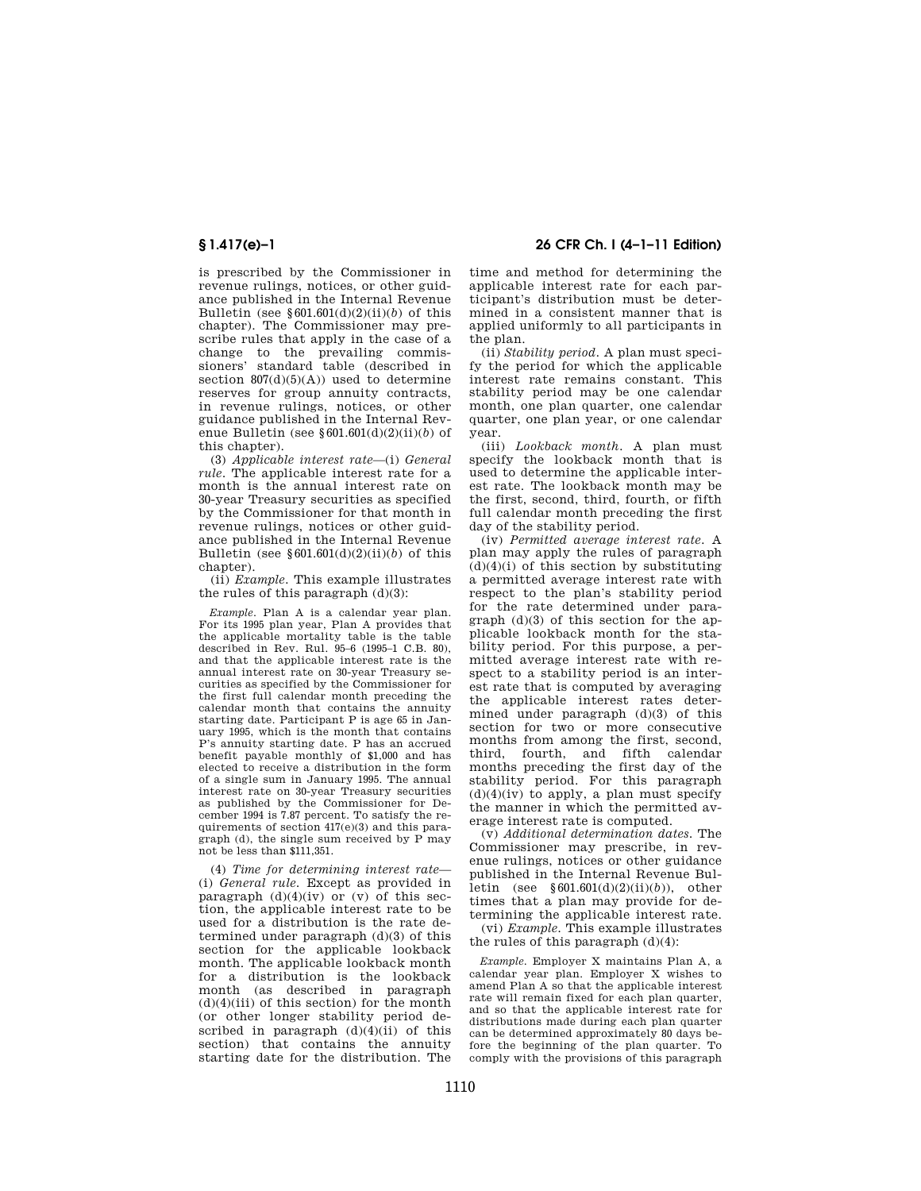is prescribed by the Commissioner in revenue rulings, notices, or other guidance published in the Internal Revenue Bulletin (see  $§601.601(d)(2)(ii)(b)$  of this chapter). The Commissioner may prescribe rules that apply in the case of a change to the prevailing commissioners' standard table (described in section  $807(d)(5)(A)$  used to determine reserves for group annuity contracts, in revenue rulings, notices, or other guidance published in the Internal Revenue Bulletin (see §601.601(d)(2)(ii)(*b*) of this chapter).

(3) *Applicable interest rate*—(i) *General rule.* The applicable interest rate for a month is the annual interest rate on 30-year Treasury securities as specified by the Commissioner for that month in revenue rulings, notices or other guidance published in the Internal Revenue Bulletin (see  $§601.601(d)(2)(ii)(b)$  of this chapter).

(ii) *Example.* This example illustrates the rules of this paragraph  $(d)(3)$ :

*Example.* Plan A is a calendar year plan. For its 1995 plan year, Plan A provides that the applicable mortality table is the table described in Rev. Rul. 95–6 (1995–1 C.B. 80), and that the applicable interest rate is the annual interest rate on 30-year Treasury securities as specified by the Commissioner for the first full calendar month preceding the calendar month that contains the annuity starting date. Participant P is age 65 in January 1995, which is the month that contains P's annuity starting date. P has an accrued benefit payable monthly of \$1,000 and has elected to receive a distribution in the form of a single sum in January 1995. The annual interest rate on 30-year Treasury securities as published by the Commissioner for December 1994 is 7.87 percent. To satisfy the requirements of section 417(e)(3) and this paragraph (d), the single sum received by P may not be less than \$111,351.

(4) *Time for determining interest rate*— (i) *General rule.* Except as provided in paragraph  $(d)(4)(iv)$  or  $(v)$  of this section, the applicable interest rate to be used for a distribution is the rate determined under paragraph (d)(3) of this section for the applicable lookback month. The applicable lookback month for a distribution is the lookback month (as described in paragraph  $(d)(4)(iii)$  of this section) for the month (or other longer stability period described in paragraph  $(d)(4)(ii)$  of this section) that contains the annuity starting date for the distribution. The

**§ 1.417(e)–1 26 CFR Ch. I (4–1–11 Edition)** 

time and method for determining the applicable interest rate for each participant's distribution must be determined in a consistent manner that is applied uniformly to all participants in the plan.

(ii) *Stability period.* A plan must specify the period for which the applicable interest rate remains constant. This stability period may be one calendar month, one plan quarter, one calendar quarter, one plan year, or one calendar year.

(iii) *Lookback month.* A plan must specify the lookback month that is used to determine the applicable interest rate. The lookback month may be the first, second, third, fourth, or fifth full calendar month preceding the first day of the stability period.

(iv) *Permitted average interest rate.* A plan may apply the rules of paragraph  $(d)(4)(i)$  of this section by substituting a permitted average interest rate with respect to the plan's stability period for the rate determined under paragraph (d)(3) of this section for the applicable lookback month for the stability period. For this purpose, a permitted average interest rate with respect to a stability period is an interest rate that is computed by averaging the applicable interest rates determined under paragraph (d)(3) of this section for two or more consecutive months from among the first, second, third, fourth, and fifth calendar months preceding the first day of the stability period. For this paragraph  $(d)(4)(iv)$  to apply, a plan must specify the manner in which the permitted average interest rate is computed.

(v) *Additional determination dates.* The Commissioner may prescribe, in revenue rulings, notices or other guidance published in the Internal Revenue Bulletin (see §601.601(d)(2)(ii)(*b*)), other times that a plan may provide for determining the applicable interest rate.

(vi) *Example.* This example illustrates the rules of this paragraph (d)(4):

*Example.* Employer X maintains Plan A, a calendar year plan. Employer X wishes to amend Plan A so that the applicable interest rate will remain fixed for each plan quarter, and so that the applicable interest rate for distributions made during each plan quarter can be determined approximately 80 days before the beginning of the plan quarter. To comply with the provisions of this paragraph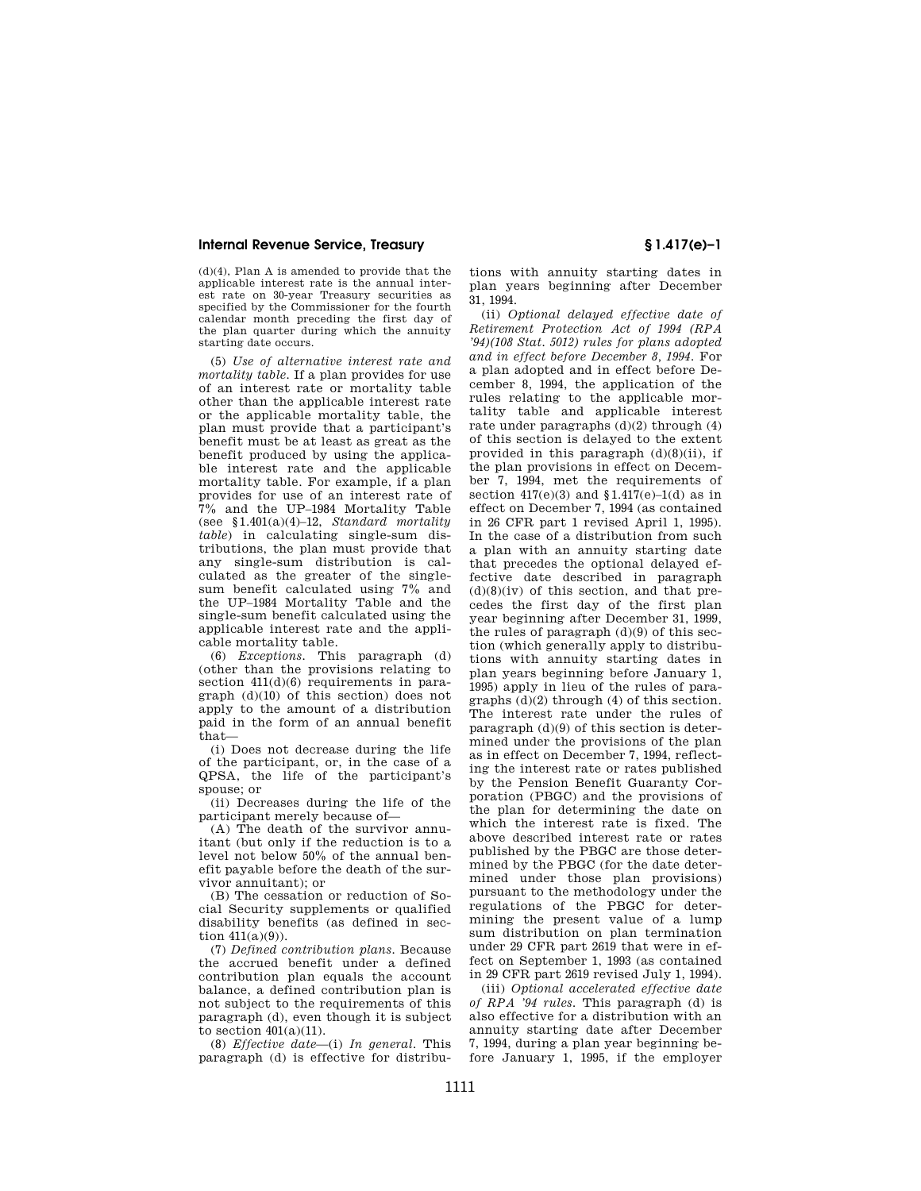(d)(4), Plan A is amended to provide that the applicable interest rate is the annual interest rate on 30-year Treasury securities as specified by the Commissioner for the fourth calendar month preceding the first day of the plan quarter during which the annuity starting date occurs.

(5) *Use of alternative interest rate and mortality table.* If a plan provides for use of an interest rate or mortality table other than the applicable interest rate or the applicable mortality table, the plan must provide that a participant's benefit must be at least as great as the benefit produced by using the applicable interest rate and the applicable mortality table. For example, if a plan provides for use of an interest rate of 7% and the UP–1984 Mortality Table (see §1.401(a)(4)–12, *Standard mortality table*) in calculating single-sum distributions, the plan must provide that any single-sum distribution is calculated as the greater of the singlesum benefit calculated using 7% and the UP–1984 Mortality Table and the single-sum benefit calculated using the applicable interest rate and the applicable mortality table.

(6) *Exceptions.* This paragraph (d) (other than the provisions relating to section  $411(d)(6)$  requirements in paragraph (d)(10) of this section) does not apply to the amount of a distribution paid in the form of an annual benefit that—

(i) Does not decrease during the life of the participant, or, in the case of a QPSA, the life of the participant's spouse; or

(ii) Decreases during the life of the participant merely because of—

(A) The death of the survivor annuitant (but only if the reduction is to a level not below 50% of the annual benefit payable before the death of the survivor annuitant); or

(B) The cessation or reduction of Social Security supplements or qualified disability benefits (as defined in section  $411(a)(9)$ ).

(7) *Defined contribution plans.* Because the accrued benefit under a defined contribution plan equals the account balance, a defined contribution plan is not subject to the requirements of this paragraph (d), even though it is subject to section  $401(a)(11)$ .

(8) *Effective date*—(i) *In general.* This paragraph (d) is effective for distribu-

tions with annuity starting dates in plan years beginning after December 31, 1994.

(ii) *Optional delayed effective date of Retirement Protection Act of 1994 (RPA '94)(108 Stat. 5012) rules for plans adopted and in effect before December 8, 1994.* For a plan adopted and in effect before December 8, 1994, the application of the rules relating to the applicable mortality table and applicable interest rate under paragraphs  $(d)(2)$  through  $(4)$ of this section is delayed to the extent provided in this paragraph  $(d)(8)(ii)$ , if the plan provisions in effect on December 7, 1994, met the requirements of section  $417(e)(3)$  and  $$1.417(e)-1(d)$  as in effect on December 7, 1994 (as contained in 26 CFR part 1 revised April 1, 1995). In the case of a distribution from such a plan with an annuity starting date that precedes the optional delayed effective date described in paragraph  $(d)(8)(iv)$  of this section, and that precedes the first day of the first plan year beginning after December 31, 1999, the rules of paragraph (d)(9) of this section (which generally apply to distributions with annuity starting dates in plan years beginning before January 1, 1995) apply in lieu of the rules of paragraphs (d)(2) through (4) of this section. The interest rate under the rules of paragraph (d)(9) of this section is determined under the provisions of the plan as in effect on December 7, 1994, reflecting the interest rate or rates published by the Pension Benefit Guaranty Corporation (PBGC) and the provisions of the plan for determining the date on which the interest rate is fixed. The above described interest rate or rates published by the PBGC are those determined by the PBGC (for the date determined under those plan provisions) pursuant to the methodology under the regulations of the PBGC for determining the present value of a lump sum distribution on plan termination under 29 CFR part 2619 that were in effect on September 1, 1993 (as contained in 29 CFR part 2619 revised July 1, 1994).

(iii) *Optional accelerated effective date of RPA '94 rules.* This paragraph (d) is also effective for a distribution with an annuity starting date after December 7, 1994, during a plan year beginning before January 1, 1995, if the employer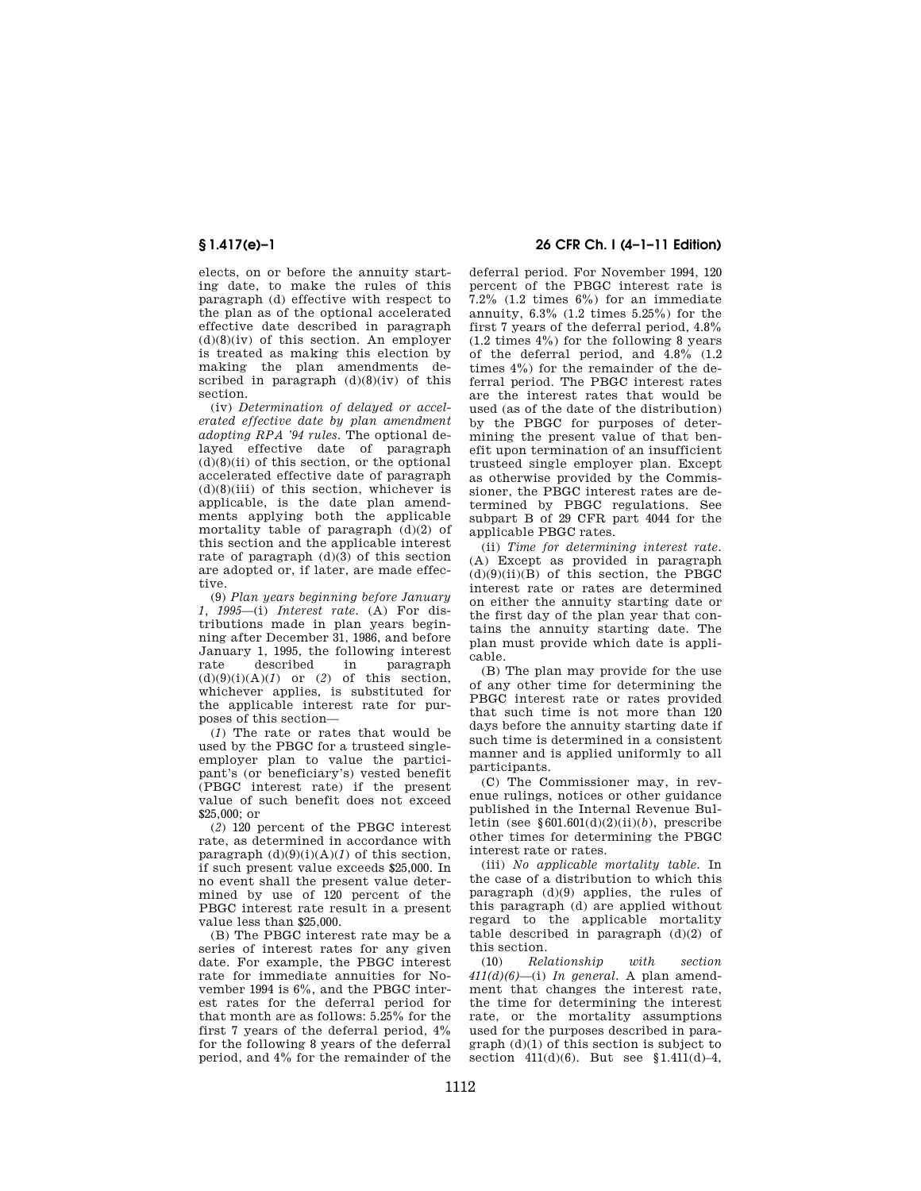elects, on or before the annuity starting date, to make the rules of this paragraph (d) effective with respect to the plan as of the optional accelerated effective date described in paragraph  $(d)(8)(iv)$  of this section. An employer is treated as making this election by making the plan amendments described in paragraph  $(d)(8)(iv)$  of this section.

(iv) *Determination of delayed or accelerated effective date by plan amendment adopting RPA '94 rules.* The optional delayed effective date of paragraph  $(d)(8)(ii)$  of this section, or the optional accelerated effective date of paragraph  $(d)(8)(iii)$  of this section, whichever is applicable, is the date plan amendments applying both the applicable mortality table of paragraph  $(d)(2)$  of this section and the applicable interest rate of paragraph  $(d)(3)$  of this section are adopted or, if later, are made effective.

(9) *Plan years beginning before January 1, 1995*—(i) *Interest rate.* (A) For distributions made in plan years beginning after December 31, 1986, and before January 1, 1995, the following interest rate described in paragraph  $(d)(9)(i)(A)(1)$  or (2) of this section, whichever applies, is substituted for the applicable interest rate for purposes of this section—

(*1*) The rate or rates that would be used by the PBGC for a trusteed singleemployer plan to value the participant's (or beneficiary's) vested benefit (PBGC interest rate) if the present value of such benefit does not exceed \$25,000; or

(*2*) 120 percent of the PBGC interest rate, as determined in accordance with paragraph  $(d)(9)(i)(A)(1)$  of this section, if such present value exceeds \$25,000. In no event shall the present value determined by use of 120 percent of the PBGC interest rate result in a present value less than \$25,000.

(B) The PBGC interest rate may be a series of interest rates for any given date. For example, the PBGC interest rate for immediate annuities for November 1994 is 6%, and the PBGC interest rates for the deferral period for that month are as follows: 5.25% for the first 7 years of the deferral period, 4% for the following 8 years of the deferral period, and 4% for the remainder of the

# **§ 1.417(e)–1 26 CFR Ch. I (4–1–11 Edition)**

deferral period. For November 1994, 120 percent of the PBGC interest rate is 7.2% (1.2 times 6%) for an immediate annuity, 6.3% (1.2 times 5.25%) for the first 7 years of the deferral period, 4.8% (1.2 times 4%) for the following 8 years of the deferral period, and 4.8% (1.2 times 4%) for the remainder of the deferral period. The PBGC interest rates are the interest rates that would be used (as of the date of the distribution) by the PBGC for purposes of determining the present value of that benefit upon termination of an insufficient trusteed single employer plan. Except as otherwise provided by the Commissioner, the PBGC interest rates are determined by PBGC regulations. See subpart B of 29 CFR part 4044 for the applicable PBGC rates.

(ii) *Time for determining interest rate.*  (A) Except as provided in paragraph  $(d)(9)(ii)(B)$  of this section, the PBGC interest rate or rates are determined on either the annuity starting date or the first day of the plan year that contains the annuity starting date. The plan must provide which date is applicable.

(B) The plan may provide for the use of any other time for determining the PBGC interest rate or rates provided that such time is not more than 120 days before the annuity starting date if such time is determined in a consistent manner and is applied uniformly to all participants.

(C) The Commissioner may, in revenue rulings, notices or other guidance published in the Internal Revenue Bulletin (see §601.601(d)(2)(ii)(*b*), prescribe other times for determining the PBGC interest rate or rates.

(iii) *No applicable mortality table.* In the case of a distribution to which this paragraph (d)(9) applies, the rules of this paragraph (d) are applied without regard to the applicable mortality table described in paragraph  $(d)(2)$  of this section.

(10) *Relationship with section 411(d)(6)*—(i) *In general.* A plan amendment that changes the interest rate, the time for determining the interest rate, or the mortality assumptions used for the purposes described in paragraph (d)(1) of this section is subject to section  $411(d)(6)$ . But see §1.411 $(d)-4$ ,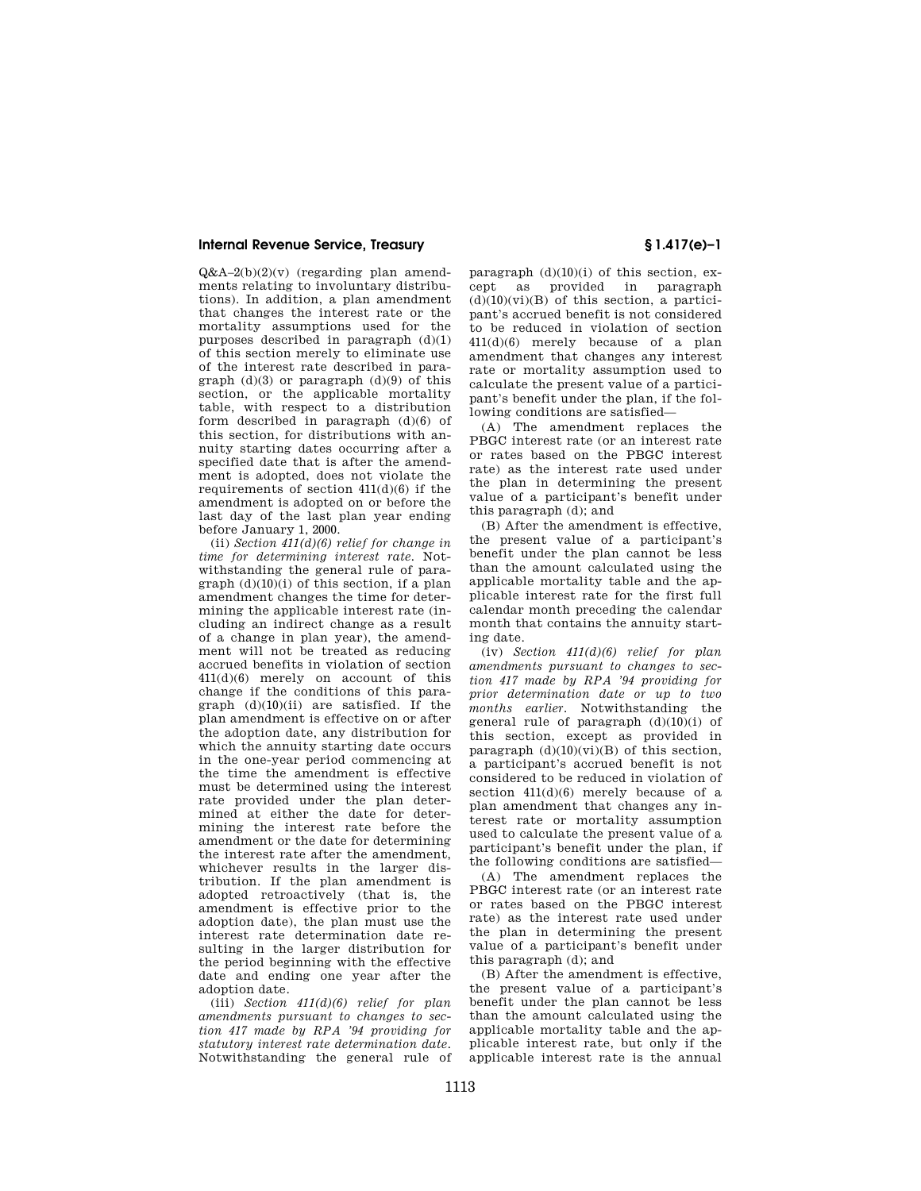Q&A–2(b)(2)(v) (regarding plan amendments relating to involuntary distributions). In addition, a plan amendment that changes the interest rate or the mortality assumptions used for the purposes described in paragraph (d)(1) of this section merely to eliminate use of the interest rate described in paragraph  $(d)(3)$  or paragraph  $(d)(9)$  of this section, or the applicable mortality table, with respect to a distribution form described in paragraph (d)(6) of this section, for distributions with annuity starting dates occurring after a specified date that is after the amendment is adopted, does not violate the requirements of section  $411(d)(6)$  if the amendment is adopted on or before the last day of the last plan year ending before January 1, 2000.

(ii) *Section 411(d)(6) relief for change in time for determining interest rate.* Notwithstanding the general rule of paragraph  $(d)(10)(i)$  of this section, if a plan amendment changes the time for determining the applicable interest rate (including an indirect change as a result of a change in plan year), the amendment will not be treated as reducing accrued benefits in violation of section 411(d)(6) merely on account of this change if the conditions of this paragraph  $(d)(10)(ii)$  are satisfied. If the plan amendment is effective on or after the adoption date, any distribution for which the annuity starting date occurs in the one-year period commencing at the time the amendment is effective must be determined using the interest rate provided under the plan determined at either the date for determining the interest rate before the amendment or the date for determining the interest rate after the amendment, whichever results in the larger distribution. If the plan amendment is adopted retroactively (that is, the amendment is effective prior to the adoption date), the plan must use the interest rate determination date resulting in the larger distribution for the period beginning with the effective date and ending one year after the adoption date.

(iii) *Section 411(d)(6) relief for plan amendments pursuant to changes to section 417 made by RPA '94 providing for statutory interest rate determination date.*  Notwithstanding the general rule of

paragraph  $(d)(10)(i)$  of this section, except as provided in paragraph  $(d)(10)(vi)(B)$  of this section, a participant's accrued benefit is not considered to be reduced in violation of section 411(d)(6) merely because of a plan amendment that changes any interest rate or mortality assumption used to calculate the present value of a participant's benefit under the plan, if the following conditions are satisfied—

(A) The amendment replaces the PBGC interest rate (or an interest rate or rates based on the PBGC interest rate) as the interest rate used under the plan in determining the present value of a participant's benefit under this paragraph (d); and

(B) After the amendment is effective, the present value of a participant's benefit under the plan cannot be less than the amount calculated using the applicable mortality table and the applicable interest rate for the first full calendar month preceding the calendar month that contains the annuity starting date.

(iv) *Section 411(d)(6) relief for plan amendments pursuant to changes to section 417 made by RPA '94 providing for prior determination date or up to two months earlier.* Notwithstanding the general rule of paragraph  $(d)(10)(i)$  of this section, except as provided in paragraph  $(d)(10)(vi)(B)$  of this section, a participant's accrued benefit is not considered to be reduced in violation of section  $411(d)(6)$  merely because of a plan amendment that changes any interest rate or mortality assumption used to calculate the present value of a participant's benefit under the plan, if the following conditions are satisfied—

(A) The amendment replaces the PBGC interest rate (or an interest rate or rates based on the PBGC interest rate) as the interest rate used under the plan in determining the present value of a participant's benefit under this paragraph (d); and

(B) After the amendment is effective, the present value of a participant's benefit under the plan cannot be less than the amount calculated using the applicable mortality table and the applicable interest rate, but only if the applicable interest rate is the annual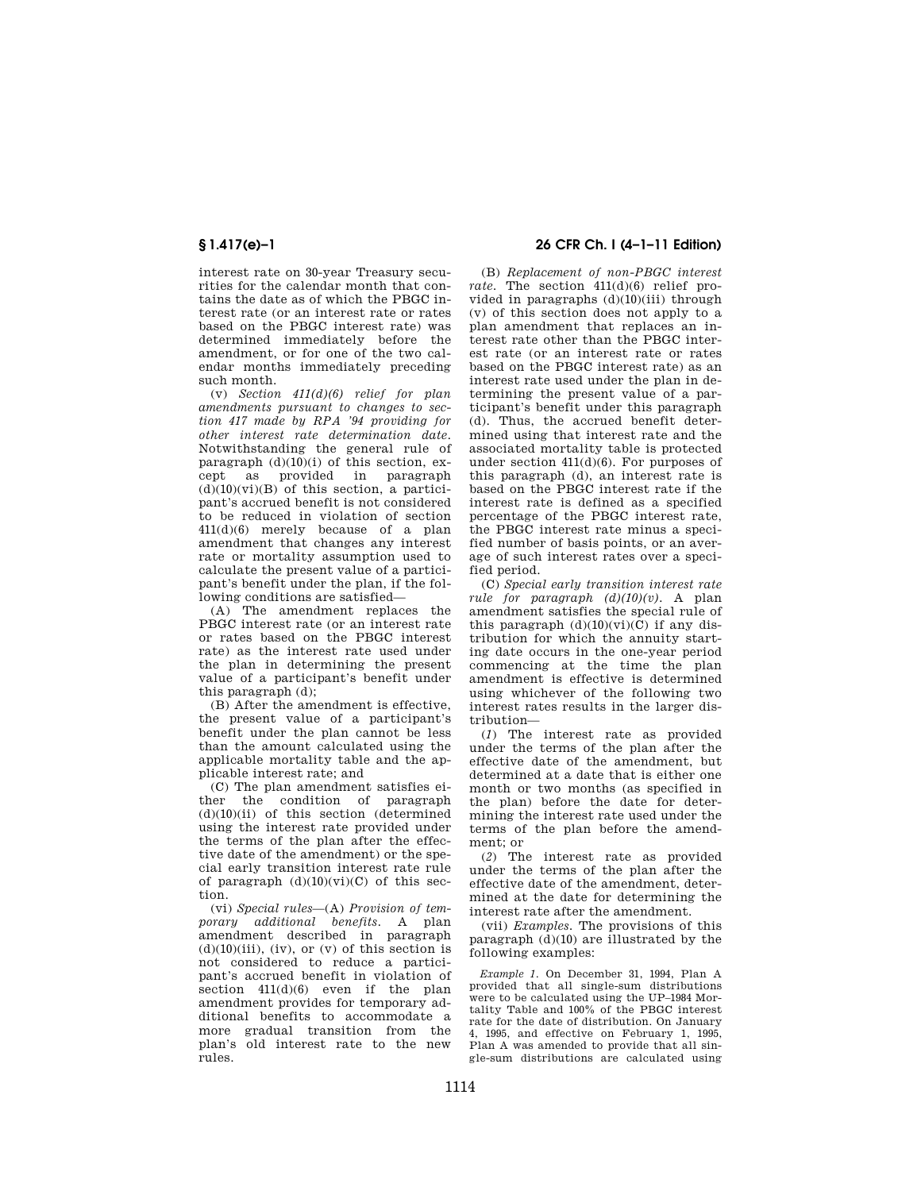interest rate on 30-year Treasury securities for the calendar month that contains the date as of which the PBGC interest rate (or an interest rate or rates based on the PBGC interest rate) was determined immediately before the amendment, or for one of the two calendar months immediately preceding such month.

(v) *Section 411(d)(6) relief for plan amendments pursuant to changes to section 417 made by RPA '94 providing for other interest rate determination date.*  Notwithstanding the general rule of paragraph  $(d)(10)(i)$  of this section, except as provided in paragraph  $(d)(10)(vi)(B)$  of this section, a participant's accrued benefit is not considered to be reduced in violation of section 411(d)(6) merely because of a plan amendment that changes any interest rate or mortality assumption used to calculate the present value of a participant's benefit under the plan, if the following conditions are satisfied—

(A) The amendment replaces the PBGC interest rate (or an interest rate or rates based on the PBGC interest rate) as the interest rate used under the plan in determining the present value of a participant's benefit under this paragraph (d);

(B) After the amendment is effective, the present value of a participant's benefit under the plan cannot be less than the amount calculated using the applicable mortality table and the applicable interest rate; and

(C) The plan amendment satisfies either the condition of paragraph (d)(10)(ii) of this section (determined using the interest rate provided under the terms of the plan after the effective date of the amendment) or the special early transition interest rate rule of paragraph  $(d)(10)(vi)(C)$  of this section.

(vi) *Special rules*—(A) *Provision of temporary additional benefits.* A plan amendment described in paragraph  $(d)(10)(iii)$ ,  $(iv)$ , or  $(v)$  of this section is not considered to reduce a participant's accrued benefit in violation of section  $411(d)(6)$  even if the plan amendment provides for temporary additional benefits to accommodate a more gradual transition from the plan's old interest rate to the new rules.

# **§ 1.417(e)–1 26 CFR Ch. I (4–1–11 Edition)**

(B) *Replacement of non-PBGC interest rate.* The section 411(d)(6) relief provided in paragraphs (d)(10)(iii) through (v) of this section does not apply to a plan amendment that replaces an interest rate other than the PBGC interest rate (or an interest rate or rates based on the PBGC interest rate) as an interest rate used under the plan in determining the present value of a participant's benefit under this paragraph (d). Thus, the accrued benefit determined using that interest rate and the associated mortality table is protected under section 411(d)(6). For purposes of this paragraph (d), an interest rate is based on the PBGC interest rate if the interest rate is defined as a specified percentage of the PBGC interest rate, the PBGC interest rate minus a specified number of basis points, or an average of such interest rates over a specified period.

(C) *Special early transition interest rate rule for paragraph (d)(10)(v).* A plan amendment satisfies the special rule of this paragraph  $(d)(10)(vi)(C)$  if any distribution for which the annuity starting date occurs in the one-year period commencing at the time the plan amendment is effective is determined using whichever of the following two interest rates results in the larger distribution—

(*1*) The interest rate as provided under the terms of the plan after the effective date of the amendment, but determined at a date that is either one month or two months (as specified in the plan) before the date for determining the interest rate used under the terms of the plan before the amendment; or

(*2*) The interest rate as provided under the terms of the plan after the effective date of the amendment, determined at the date for determining the interest rate after the amendment.

(vii) *Examples.* The provisions of this paragraph (d)(10) are illustrated by the following examples:

*Example 1.* On December 31, 1994, Plan A provided that all single-sum distributions were to be calculated using the UP–1984 Mortality Table and 100% of the PBGC interest rate for the date of distribution. On January 4, 1995, and effective on February 1, 1995, Plan A was amended to provide that all single-sum distributions are calculated using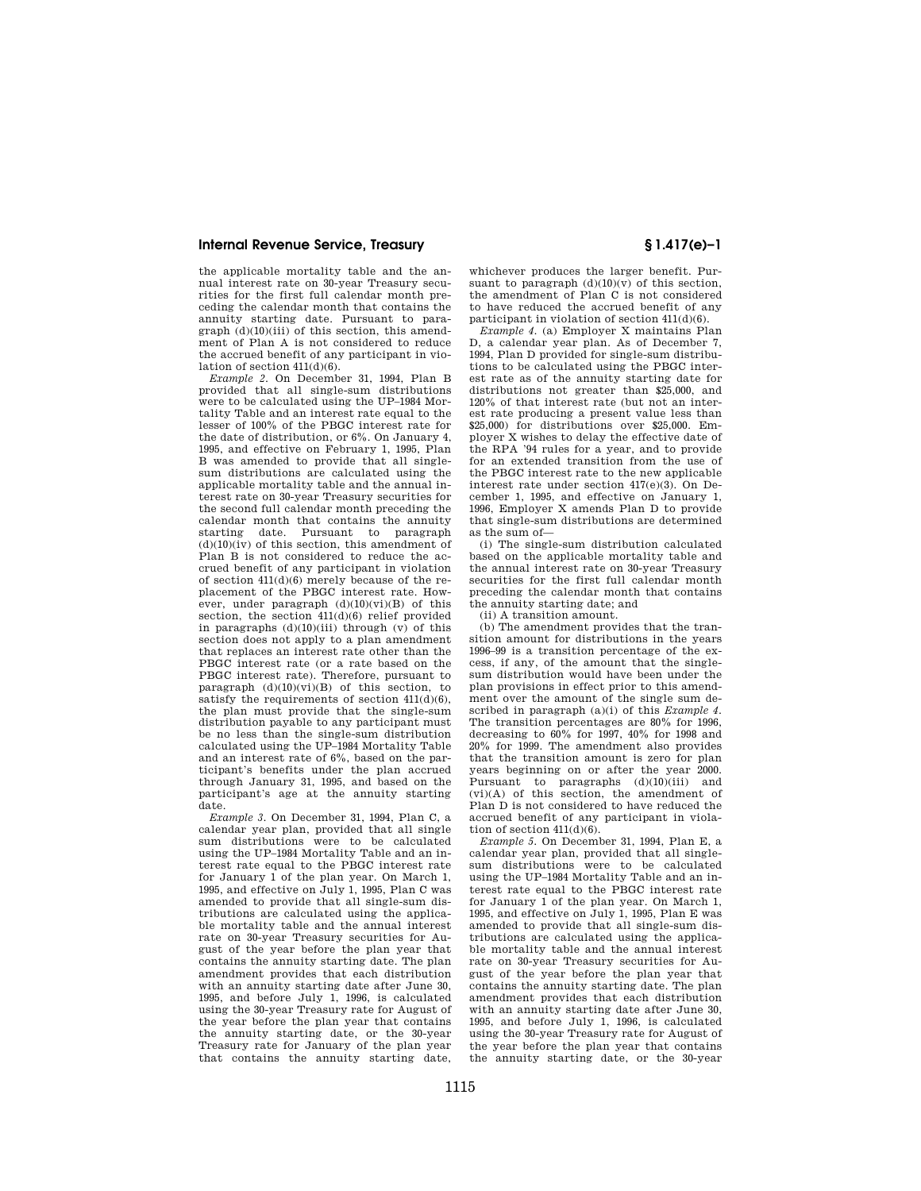the applicable mortality table and the annual interest rate on 30-year Treasury securities for the first full calendar month preceding the calendar month that contains the annuity starting date. Pursuant to para $graph$   $(d)(10)(iii)$  of this section, this amendment of Plan A is not considered to reduce the accrued benefit of any participant in violation of section 411(d)(6).

*Example 2.* On December 31, 1994, Plan B provided that all single-sum distributions were to be calculated using the UP–1984 Mortality Table and an interest rate equal to the lesser of 100% of the PBGC interest rate for the date of distribution, or 6%. On January 4, 1995, and effective on February 1, 1995, Plan B was amended to provide that all singlesum distributions are calculated using the applicable mortality table and the annual interest rate on 30-year Treasury securities for the second full calendar month preceding the calendar month that contains the annuity starting date. Pursuant to paragraph  $(d)(10)(iv)$  of this section, this amendment of Plan B is not considered to reduce the accrued benefit of any participant in violation of section 411(d)(6) merely because of the replacement of the PBGC interest rate. However, under paragraph  $(d)(10)(vi)(B)$  of this section, the section  $411(d)(6)$  relief provided in paragraphs  $(d)(10)(iii)$  through  $(v)$  of this section does not apply to a plan amendment that replaces an interest rate other than the PBGC interest rate (or a rate based on the PBGC interest rate). Therefore, pursuant to paragraph  $(d)(10)(vi)(B)$  of this section, to satisfy the requirements of section  $411(d)(6)$ , the plan must provide that the single-sum distribution payable to any participant must be no less than the single-sum distribution calculated using the UP–1984 Mortality Table and an interest rate of 6%, based on the participant's benefits under the plan accrued through January 31, 1995, and based on the participant's age at the annuity starting date.

*Example 3.* On December 31, 1994, Plan C, a calendar year plan, provided that all single sum distributions were to be calculated using the UP–1984 Mortality Table and an interest rate equal to the PBGC interest rate for January 1 of the plan year. On March 1, 1995, and effective on July 1, 1995, Plan C was amended to provide that all single-sum distributions are calculated using the applicable mortality table and the annual interest rate on 30-year Treasury securities for August of the year before the plan year that contains the annuity starting date. The plan amendment provides that each distribution with an annuity starting date after June 30, 1995, and before July 1, 1996, is calculated using the 30-year Treasury rate for August of the year before the plan year that contains the annuity starting date, or the 30-year Treasury rate for January of the plan year that contains the annuity starting date,

whichever produces the larger benefit. Pursuant to paragraph  $(d)(10)(v)$  of this section, the amendment of Plan C is not considered to have reduced the accrued benefit of any participant in violation of section 411(d)(6).

*Example 4.* (a) Employer X maintains Plan D, a calendar year plan. As of December 7, 1994, Plan D provided for single-sum distributions to be calculated using the PBGC interest rate as of the annuity starting date for distributions not greater than \$25,000, and 120% of that interest rate (but not an interest rate producing a present value less than \$25,000) for distributions over \$25,000. Employer X wishes to delay the effective date of the RPA '94 rules for a year, and to provide for an extended transition from the use of the PBGC interest rate to the new applicable interest rate under section 417(e)(3). On December 1, 1995, and effective on January 1, 1996, Employer X amends Plan D to provide that single-sum distributions are determined as the sum of—

(i) The single-sum distribution calculated based on the applicable mortality table and the annual interest rate on 30-year Treasury securities for the first full calendar month preceding the calendar month that contains the annuity starting date; and

(ii) A transition amount.

(b) The amendment provides that the transition amount for distributions in the years 1996–99 is a transition percentage of the excess, if any, of the amount that the singlesum distribution would have been under the plan provisions in effect prior to this amendment over the amount of the single sum described in paragraph (a)(i) of this *Example 4.*  The transition percentages are 80% for 1996, decreasing to 60% for 1997, 40% for 1998 and 20% for 1999. The amendment also provides that the transition amount is zero for plan years beginning on or after the year 2000. Pursuant to paragraphs (d)(10)(iii) and (vi)(A) of this section, the amendment of Plan D is not considered to have reduced the accrued benefit of any participant in violation of section 411(d)(6).

*Example 5.* On December 31, 1994, Plan E, a calendar year plan, provided that all singlesum distributions were to be calculated using the UP–1984 Mortality Table and an interest rate equal to the PBGC interest rate for January 1 of the plan year. On March 1, 1995, and effective on July 1, 1995, Plan E was amended to provide that all single-sum distributions are calculated using the applicable mortality table and the annual interest rate on 30-year Treasury securities for August of the year before the plan year that contains the annuity starting date. The plan amendment provides that each distribution with an annuity starting date after June 30, 1995, and before July 1, 1996, is calculated using the 30-year Treasury rate for August of the year before the plan year that contains the annuity starting date, or the 30-year